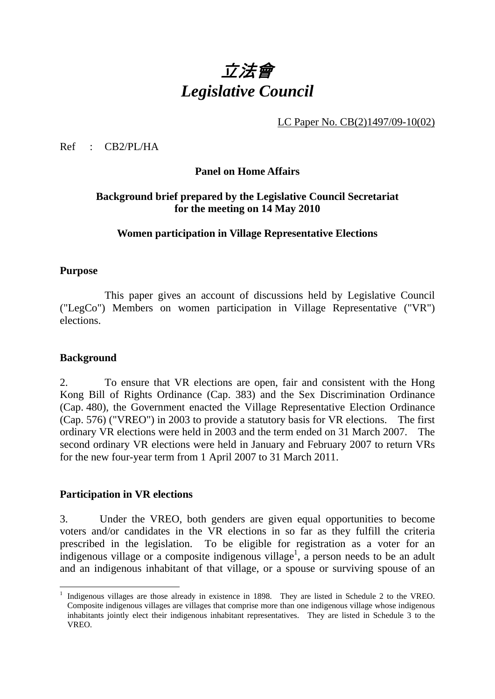

LC Paper No. CB(2)1497/09-10(02)

Ref : CB2/PL/HA

### **Panel on Home Affairs**

# **Background brief prepared by the Legislative Council Secretariat for the meeting on 14 May 2010**

### **Women participation in Village Representative Elections**

### **Purpose**

1. This paper gives an account of discussions held by Legislative Council ("LegCo") Members on women participation in Village Representative ("VR") elections.

#### **Background**

<u>.</u>

2. To ensure that VR elections are open, fair and consistent with the Hong Kong Bill of Rights Ordinance (Cap. 383) and the Sex Discrimination Ordinance (Cap. 480), the Government enacted the Village Representative Election Ordinance (Cap. 576) ("VREO") in 2003 to provide a statutory basis for VR elections. The first ordinary VR elections were held in 2003 and the term ended on 31 March 2007. The second ordinary VR elections were held in January and February 2007 to return VRs for the new four-year term from 1 April 2007 to 31 March 2011.

#### **Participation in VR elections**

3. Under the VREO, both genders are given equal opportunities to become voters and/or candidates in the VR elections in so far as they fulfill the criteria prescribed in the legislation. To be eligible for registration as a voter for an indigenous village or a composite indigenous village<sup>1</sup>, a person needs to be an adult and an indigenous inhabitant of that village, or a spouse or surviving spouse of an

<sup>1</sup> Indigenous villages are those already in existence in 1898. They are listed in Schedule 2 to the VREO. Composite indigenous villages are villages that comprise more than one indigenous village whose indigenous inhabitants jointly elect their indigenous inhabitant representatives. They are listed in Schedule 3 to the VREO.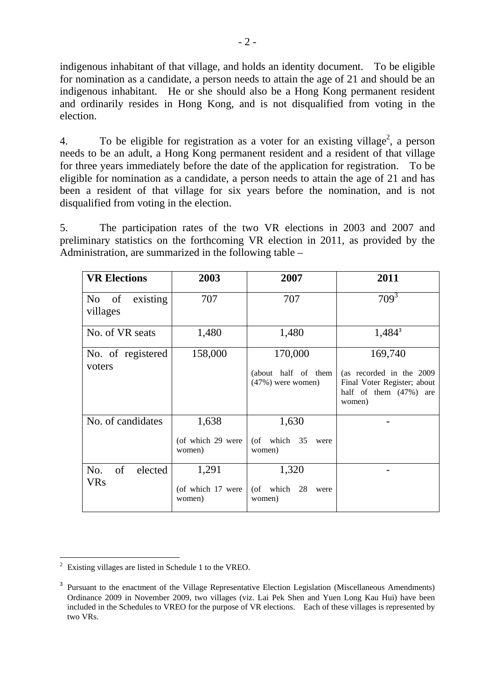indigenous inhabitant of that village, and holds an identity document. To be eligible for nomination as a candidate, a person needs to attain the age of 21 and should be an indigenous inhabitant. He or she should also be a Hong Kong permanent resident and ordinarily resides in Hong Kong, and is not disqualified from voting in the election.

4. To be eligible for registration as a voter for an existing village<sup>2</sup>, a person needs to be an adult, a Hong Kong permanent resident and a resident of that village for three years immediately before the date of the application for registration. To be eligible for nomination as a candidate, a person needs to attain the age of 21 and has been a resident of that village for six years before the nomination, and is not disqualified from voting in the election.

5. The participation rates of the two VR elections in 2003 and 2007 and preliminary statistics on the forthcoming VR election in 2011, as provided by the Administration, are summarized in the following table –

| <b>VR Elections</b>                          | 2003                                 | 2007                                                  | 2011                                                                                                   |
|----------------------------------------------|--------------------------------------|-------------------------------------------------------|--------------------------------------------------------------------------------------------------------|
| of<br>existing<br>N <sub>0</sub><br>villages | 707                                  | 707                                                   | $709^3$                                                                                                |
| No. of VR seats                              | 1,480                                | 1,480                                                 | $1,484^3$                                                                                              |
| No. of registered<br>voters                  | 158,000                              | 170,000<br>(about half of them<br>$(47%)$ were women) | 169,740<br>(as recorded in the 2009<br>Final Voter Register; about<br>half of them (47%) are<br>women) |
| No. of candidates                            | 1,638<br>(of which 29 were<br>women) | 1,630<br>(of which $35$<br>were<br>women)             |                                                                                                        |
| of<br>elected<br>No.<br><b>VRs</b>           | 1,291<br>(of which 17 were<br>women) | 1,320<br>(of which 28<br>were<br>women)               |                                                                                                        |

<sup>1</sup> 2 Existing villages are listed in Schedule 1 to the VREO.

<sup>&</sup>lt;sup>3</sup> Pursuant to the enactment of the Village Representative Election Legislation (Miscellaneous Amendments) Ordinance 2009 in November 2009, two villages (viz. Lai Pek Shen and Yuen Long Kau Hui) have been included in the Schedules to VREO for the purpose of VR elections. Each of these villages is represented by two VRs.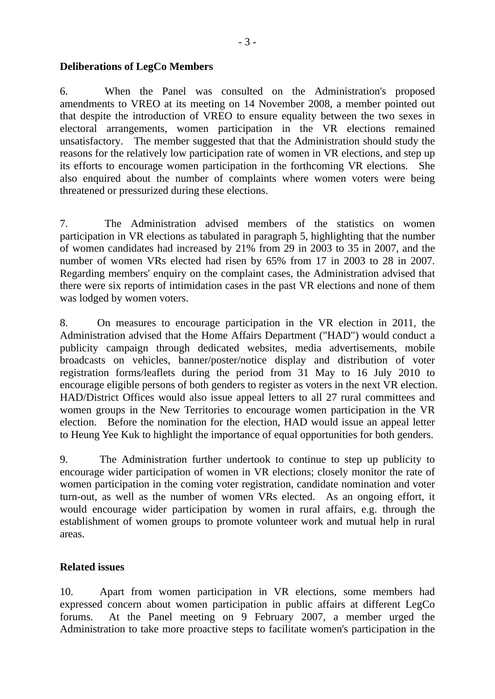### **Deliberations of LegCo Members**

6. When the Panel was consulted on the Administration's proposed amendments to VREO at its meeting on 14 November 2008, a member pointed out that despite the introduction of VREO to ensure equality between the two sexes in electoral arrangements, women participation in the VR elections remained unsatisfactory. The member suggested that that the Administration should study the reasons for the relatively low participation rate of women in VR elections, and step up its efforts to encourage women participation in the forthcoming VR elections. She also enquired about the number of complaints where women voters were being threatened or pressurized during these elections.

7. The Administration advised members of the statistics on women participation in VR elections as tabulated in paragraph 5, highlighting that the number of women candidates had increased by 21% from 29 in 2003 to 35 in 2007, and the number of women VRs elected had risen by 65% from 17 in 2003 to 28 in 2007. Regarding members' enquiry on the complaint cases, the Administration advised that there were six reports of intimidation cases in the past VR elections and none of them was lodged by women voters.

8. On measures to encourage participation in the VR election in 2011, the Administration advised that the Home Affairs Department ("HAD") would conduct a publicity campaign through dedicated websites, media advertisements, mobile broadcasts on vehicles, banner/poster/notice display and distribution of voter registration forms/leaflets during the period from 31 May to 16 July 2010 to encourage eligible persons of both genders to register as voters in the next VR election. HAD/District Offices would also issue appeal letters to all 27 rural committees and women groups in the New Territories to encourage women participation in the VR election. Before the nomination for the election, HAD would issue an appeal letter to Heung Yee Kuk to highlight the importance of equal opportunities for both genders.

9. The Administration further undertook to continue to step up publicity to encourage wider participation of women in VR elections; closely monitor the rate of women participation in the coming voter registration, candidate nomination and voter turn-out, as well as the number of women VRs elected. As an ongoing effort, it would encourage wider participation by women in rural affairs, e.g. through the establishment of women groups to promote volunteer work and mutual help in rural areas.

# **Related issues**

10. Apart from women participation in VR elections, some members had expressed concern about women participation in public affairs at different LegCo forums. At the Panel meeting on 9 February 2007, a member urged the Administration to take more proactive steps to facilitate women's participation in the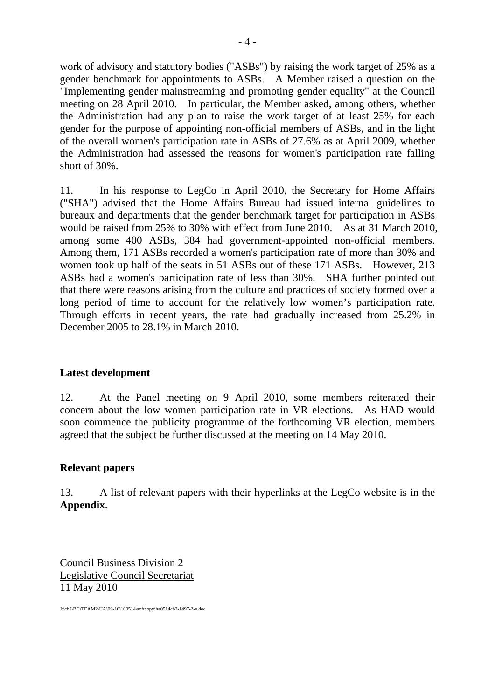work of advisory and statutory bodies ("ASBs") by raising the work target of 25% as a gender benchmark for appointments to ASBs. A Member raised a question on the "Implementing gender mainstreaming and promoting gender equality" at the Council meeting on 28 April 2010. In particular, the Member asked, among others, whether the Administration had any plan to raise the work target of at least 25% for each gender for the purpose of appointing non-official members of ASBs, and in the light of the overall women's participation rate in ASBs of 27.6% as at April 2009, whether the Administration had assessed the reasons for women's participation rate falling short of 30%.

11. In his response to LegCo in April 2010, the Secretary for Home Affairs ("SHA") advised that the Home Affairs Bureau had issued internal guidelines to bureaux and departments that the gender benchmark target for participation in ASBs would be raised from 25% to 30% with effect from June 2010. As at 31 March 2010, among some 400 ASBs, 384 had government-appointed non-official members. Among them, 171 ASBs recorded a women's participation rate of more than 30% and women took up half of the seats in 51 ASBs out of these 171 ASBs. However, 213 ASBs had a women's participation rate of less than 30%. SHA further pointed out that there were reasons arising from the culture and practices of society formed over a long period of time to account for the relatively low women's participation rate. Through efforts in recent years, the rate had gradually increased from 25.2% in December 2005 to 28.1% in March 2010.

# **Latest development**

12. At the Panel meeting on 9 April 2010, some members reiterated their concern about the low women participation rate in VR elections. As HAD would soon commence the publicity programme of the forthcoming VR election, members agreed that the subject be further discussed at the meeting on 14 May 2010.

# **Relevant papers**

13. A list of relevant papers with their hyperlinks at the LegCo website is in the **Appendix**.

Council Business Division 2 Legislative Council Secretariat 11 May 2010